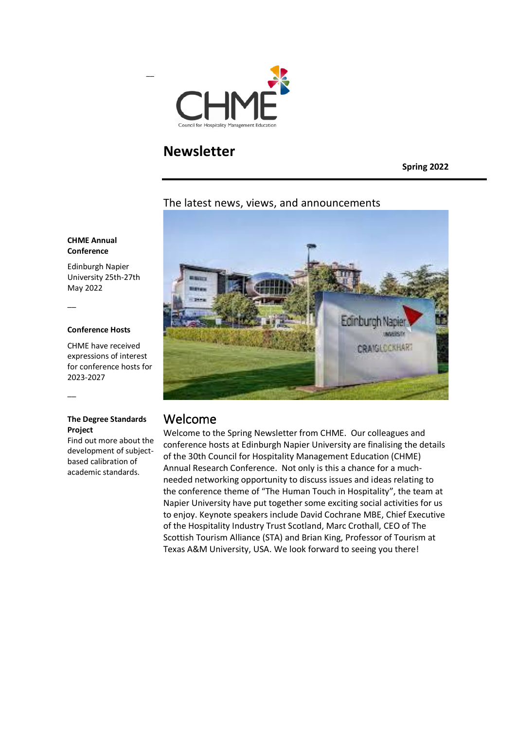

### **Newsletter**

**Spring 2022**

#### The latest news, views, and announcements



#### Welcome

Welcome to the Spring Newsletter from CHME. Our colleagues and conference hosts at Edinburgh Napier University are finalising the details of the 30th Council for Hospitality Management Education (CHME) Annual Research Conference. Not only is this a chance for a muchneeded networking opportunity to discuss issues and ideas relating to the conference theme of "The Human Touch in Hospitality", the team at Napier University have put together some exciting social activities for us to enjoy. Keynote speakers include David Cochrane MBE, Chief Executive of the Hospitality Industry Trust Scotland, Marc Crothall, CEO of The Scottish Tourism Alliance (STA) and Brian King, Professor of Tourism at Texas A&M University, USA. We look forward to seeing you there!

#### **CHME Annual Conference**

Edinburgh Napier University 25th-27th May 2022

 $\overline{\phantom{a}}$ 

 $\overline{\phantom{a}}$ 

#### **Conference Hosts**

CHME have received expressions of interest for conference hosts for 2023-2027

#### **The Degree Standards Project**

Find out more about the development of subjectbased calibration of academic standards.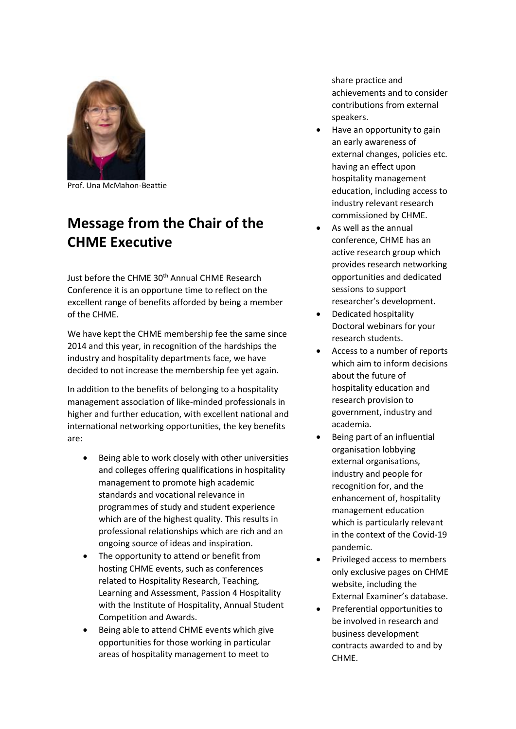

Prof. Una McMahon-Beattie

# **Message from the Chair of the CHME Executive**

Just before the CHME 30<sup>th</sup> Annual CHME Research Conference it is an opportune time to reflect on the excellent range of benefits afforded by being a member of the CHME.

We have kept the CHME membership fee the same since 2014 and this year, in recognition of the hardships the industry and hospitality departments face, we have decided to not increase the membership fee yet again.

In addition to the benefits of belonging to a hospitality management association of like-minded professionals in higher and further education, with excellent national and international networking opportunities, the key benefits are:

- Being able to work closely with other universities and colleges offering qualifications in hospitality management to promote high academic standards and vocational relevance in programmes of study and student experience which are of the highest quality. This results in professional relationships which are rich and an ongoing source of ideas and inspiration.
- The opportunity to attend or benefit from hosting CHME events, such as conferences related to Hospitality Research, Teaching, Learning and Assessment, Passion 4 Hospitality with the Institute of Hospitality, Annual Student Competition and Awards.
- Being able to attend CHME events which give opportunities for those working in particular areas of hospitality management to meet to

share practice and achievements and to consider contributions from external speakers.

- Have an opportunity to gain an early awareness of external changes, policies etc. having an effect upon hospitality management education, including access to industry relevant research commissioned by CHME.
- As well as the annual conference, CHME has an active research group which provides research networking opportunities and dedicated sessions to support researcher's development.
- Dedicated hospitality Doctoral webinars for your research students.
- Access to a number of reports which aim to inform decisions about the future of hospitality education and research provision to government, industry and academia.
- Being part of an influential organisation lobbying external organisations, industry and people for recognition for, and the enhancement of, hospitality management education which is particularly relevant in the context of the Covid-19 pandemic.
- Privileged access to members only exclusive pages on CHME website, including the External Examiner's database.
- Preferential opportunities to be involved in research and business development contracts awarded to and by CHME.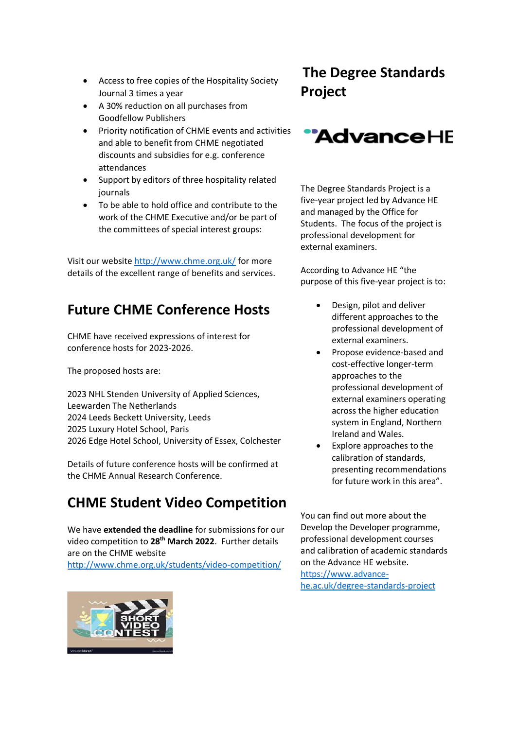- Access to free copies of the Hospitality Society Journal 3 times a year
- A 30% reduction on all purchases from Goodfellow Publishers
- Priority notification of CHME events and activities and able to benefit from CHME negotiated discounts and subsidies for e.g. conference attendances
- Support by editors of three hospitality related journals
- To be able to hold office and contribute to the work of the CHME Executive and/or be part of the committees of special interest groups:

Visit our website http://www.chme.org.uk/ for more details of the excellent range of benefits and services.

### **Future CHME Conference Hosts**

CHME have received expressions of interest for conference hosts for 2023-2026.

The proposed hosts are:

2023 NHL Stenden University of Applied Sciences, Leewarden The Netherlands 2024 Leeds Beckett University, Leeds 2025 Luxury Hotel School, Paris 2026 Edge Hotel School, University of Essex, Colchester

Details of future conference hosts will be confirmed at the CHME Annual Research Conference.

### **CHME Student Video Competition**

We have **extended the deadline** for submissions for our video competition to **28th March 2022**. Further details are on the CHME website http://www.chme.org.uk/students/video-competition/

# **The Degree Standards Project**



The Degree Standards Project is a five-year project led by Advance HE and managed by the Office for Students. The focus of the project is professional development for external examiners.

According to Advance HE "the purpose of this five-year project is to:

- Design, pilot and deliver different approaches to the professional development of external examiners.
- Propose evidence-based and cost-effective longer-term approaches to the professional development of external examiners operating across the higher education system in England, Northern Ireland and Wales.
- Explore approaches to the calibration of standards, presenting recommendations for future work in this area".

You can find out more about the Develop the Developer programme, professional development courses and calibration of academic standards on the Advance HE website. https://www.advancehe.ac.uk/degree-standards-project

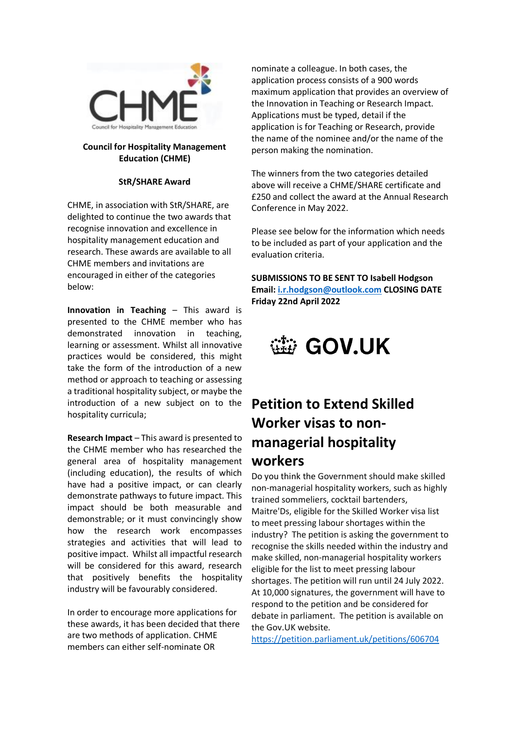

#### **Council for Hospitality Management Education (CHME)**

#### **StR/SHARE Award**

CHME, in association with StR/SHARE, are delighted to continue the two awards that recognise innovation and excellence in hospitality management education and research. These awards are available to all CHME members and invitations are encouraged in either of the categories below:

**Innovation in Teaching** – This award is presented to the CHME member who has demonstrated innovation in teaching, learning or assessment. Whilst all innovative practices would be considered, this might take the form of the introduction of a new method or approach to teaching or assessing a traditional hospitality subject, or maybe the introduction of a new subject on to the hospitality curricula;

**Research Impact** – This award is presented to the CHME member who has researched the general area of hospitality management (including education), the results of which have had a positive impact, or can clearly demonstrate pathways to future impact. This impact should be both measurable and demonstrable; or it must convincingly show how the research work encompasses strategies and activities that will lead to positive impact. Whilst all impactful research will be considered for this award, research that positively benefits the hospitality industry will be favourably considered.

In order to encourage more applications for these awards, it has been decided that there are two methods of application. CHME members can either self-nominate OR

nominate a colleague. In both cases, the application process consists of a 900 words maximum application that provides an overview of the Innovation in Teaching or Research Impact. Applications must be typed, detail if the application is for Teaching or Research, provide the name of the nominee and/or the name of the person making the nomination.

The winners from the two categories detailed above will receive a CHME/SHARE certificate and £250 and collect the award at the Annual Research Conference in May 2022.

Please see below for the information which needs to be included as part of your application and the evaluation criteria.

**SUBMISSIONS TO BE SENT TO Isabell Hodgson Email: i.r.hodgson@outlook.com CLOSING DATE Friday 22nd April 2022**

# **◎梦 GOV.UK**

## **Petition to Extend Skilled Worker visas to nonmanagerial hospitality workers**

Do you think the Government should make skilled non-managerial hospitality workers, such as highly trained sommeliers, cocktail bartenders, Maitre'Ds, eligible for the Skilled Worker visa list to meet pressing labour shortages within the industry? The petition is asking the government to recognise the skills needed within the industry and make skilled, non-managerial hospitality workers eligible for the list to meet pressing labour shortages. The petition will run until 24 July 2022. At 10,000 signatures, the government will have to respond to the petition and be considered for debate in parliament. The petition is available on the Gov.UK website.

https://petition.parliament.uk/petitions/606704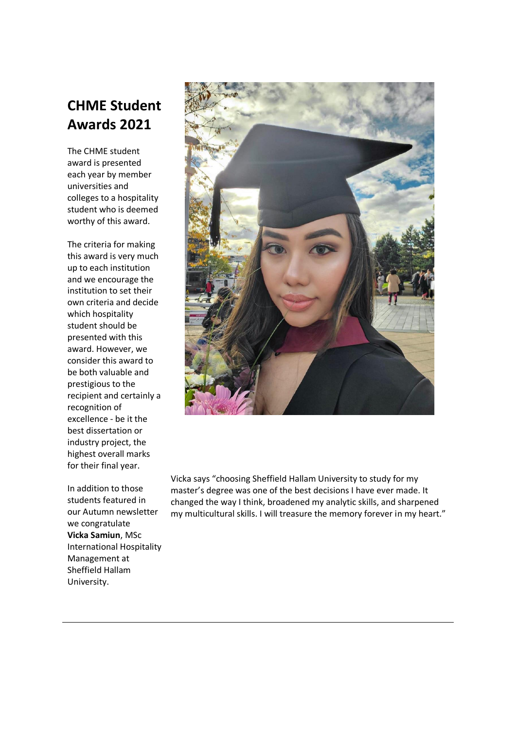# **CHME Student Awards 2021**

The CHME student award is presented each year by member universities and colleges to a hospitality student who is deemed worthy of this award.

The criteria for making this award is very much up to each institution and we encourage the institution to set their own criteria and decide which hospitality student should be presented with this award. However, we consider this award to be both valuable and prestigious to the recipient and certainly a recognition of excellence - be it the best dissertation or industry project, the highest overall marks for their final year.

In addition to those students featured in our Autumn newsletter we congratulate **Vicka Samiun**, MSc International Hospitality Management at Sheffield Hallam University.



Vicka says "choosing Sheffield Hallam University to study for my master's degree was one of the best decisions I have ever made. It changed the way I think, broadened my analytic skills, and sharpened my multicultural skills. I will treasure the memory forever in my heart."